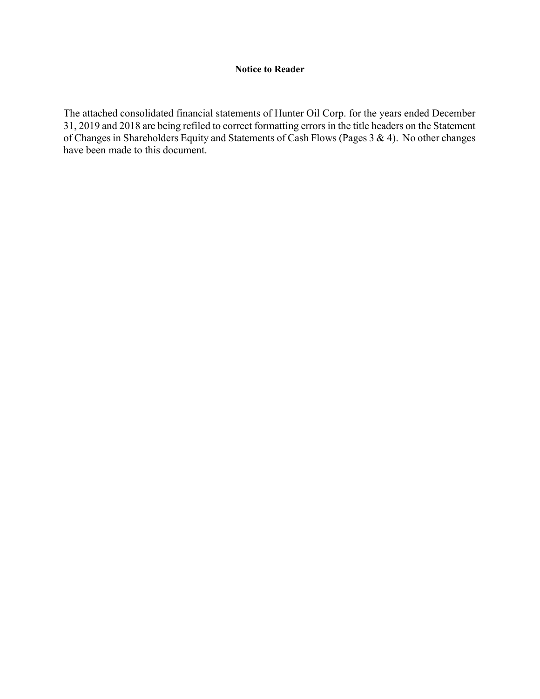### Notice to Reader

The attached consolidated financial statements of Hunter Oil Corp. for the years ended December 31, 2019 and 2018 are being refiled to correct formatting errors in the title headers on the Statement of Changes in Shareholders Equity and Statements of Cash Flows (Pages 3 & 4). No other changes have been made to this document.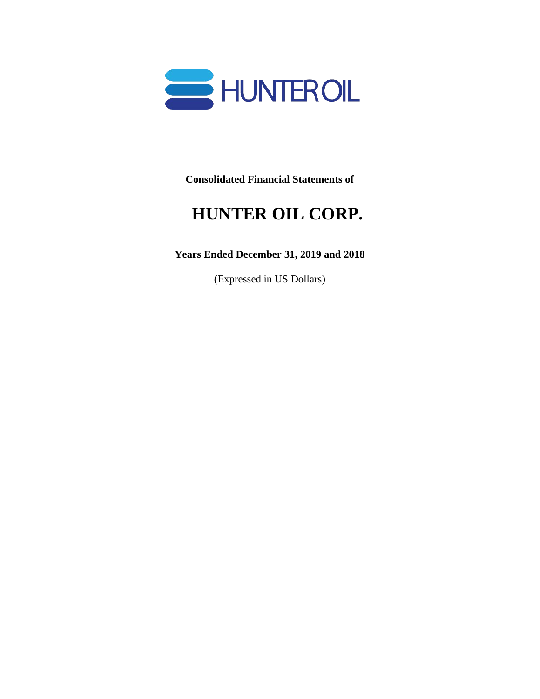

**Consolidated Financial Statements of**

# **HUNTER OIL CORP.**

**Years Ended December 31, 2019 and 2018**

(Expressed in US Dollars)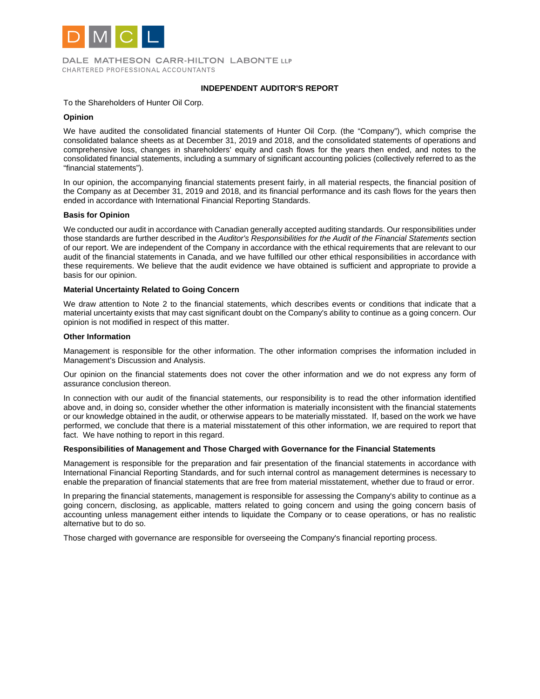

DALE MATHESON CARR-HILTON LABONTE LLP CHARTERED PROFESSIONAL ACCOUNTANTS

#### **INDEPENDENT AUDITOR'S REPORT**

To the Shareholders of Hunter Oil Corp.

#### **Opinion**

We have audited the consolidated financial statements of Hunter Oil Corp. (the "Company"), which comprise the consolidated balance sheets as at December 31, 2019 and 2018, and the consolidated statements of operations and comprehensive loss, changes in shareholders' equity and cash flows for the years then ended, and notes to the consolidated financial statements, including a summary of significant accounting policies (collectively referred to as the "financial statements").

In our opinion, the accompanying financial statements present fairly, in all material respects, the financial position of the Company as at December 31, 2019 and 2018, and its financial performance and its cash flows for the years then ended in accordance with International Financial Reporting Standards.

#### **Basis for Opinion**

We conducted our audit in accordance with Canadian generally accepted auditing standards. Our responsibilities under those standards are further described in the *Auditor's Responsibilities for the Audit of the Financial Statements* section of our report. We are independent of the Company in accordance with the ethical requirements that are relevant to our audit of the financial statements in Canada, and we have fulfilled our other ethical responsibilities in accordance with these requirements. We believe that the audit evidence we have obtained is sufficient and appropriate to provide a basis for our opinion.

#### **Material Uncertainty Related to Going Concern**

We draw attention to Note 2 to the financial statements, which describes events or conditions that indicate that a material uncertainty exists that may cast significant doubt on the Company's ability to continue as a going concern. Our opinion is not modified in respect of this matter.

#### **Other Information**

Management is responsible for the other information. The other information comprises the information included in Management's Discussion and Analysis.

Our opinion on the financial statements does not cover the other information and we do not express any form of assurance conclusion thereon.

In connection with our audit of the financial statements, our responsibility is to read the other information identified above and, in doing so, consider whether the other information is materially inconsistent with the financial statements or our knowledge obtained in the audit, or otherwise appears to be materially misstated. If, based on the work we have performed, we conclude that there is a material misstatement of this other information, we are required to report that fact. We have nothing to report in this regard.

#### **Responsibilities of Management and Those Charged with Governance for the Financial Statements**

Management is responsible for the preparation and fair presentation of the financial statements in accordance with International Financial Reporting Standards, and for such internal control as management determines is necessary to enable the preparation of financial statements that are free from material misstatement, whether due to fraud or error.

In preparing the financial statements, management is responsible for assessing the Company's ability to continue as a going concern, disclosing, as applicable, matters related to going concern and using the going concern basis of accounting unless management either intends to liquidate the Company or to cease operations, or has no realistic alternative but to do so.

Those charged with governance are responsible for overseeing the Company's financial reporting process.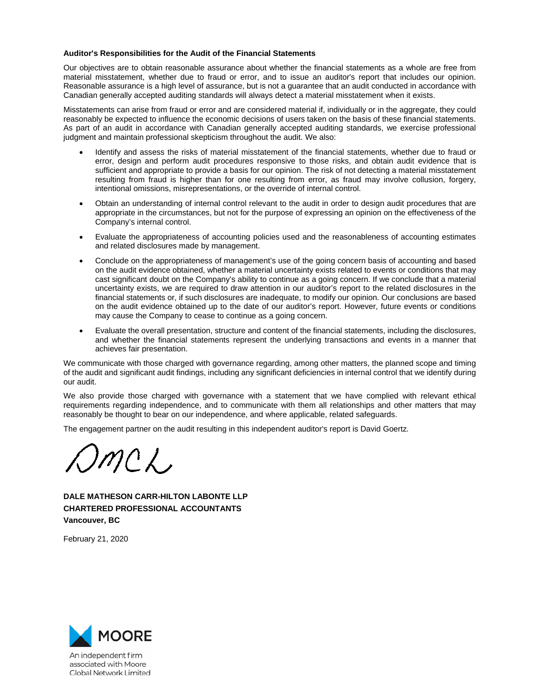#### **Auditor's Responsibilities for the Audit of the Financial Statements**

Our objectives are to obtain reasonable assurance about whether the financial statements as a whole are free from material misstatement, whether due to fraud or error, and to issue an auditor's report that includes our opinion. Reasonable assurance is a high level of assurance, but is not a guarantee that an audit conducted in accordance with Canadian generally accepted auditing standards will always detect a material misstatement when it exists.

Misstatements can arise from fraud or error and are considered material if, individually or in the aggregate, they could reasonably be expected to influence the economic decisions of users taken on the basis of these financial statements. As part of an audit in accordance with Canadian generally accepted auditing standards, we exercise professional judgment and maintain professional skepticism throughout the audit. We also:

- Identify and assess the risks of material misstatement of the financial statements, whether due to fraud or error, design and perform audit procedures responsive to those risks, and obtain audit evidence that is sufficient and appropriate to provide a basis for our opinion. The risk of not detecting a material misstatement resulting from fraud is higher than for one resulting from error, as fraud may involve collusion, forgery, intentional omissions, misrepresentations, or the override of internal control.
- Obtain an understanding of internal control relevant to the audit in order to design audit procedures that are appropriate in the circumstances, but not for the purpose of expressing an opinion on the effectiveness of the Company's internal control.
- Evaluate the appropriateness of accounting policies used and the reasonableness of accounting estimates and related disclosures made by management.
- Conclude on the appropriateness of management's use of the going concern basis of accounting and based on the audit evidence obtained, whether a material uncertainty exists related to events or conditions that may cast significant doubt on the Company's ability to continue as a going concern. If we conclude that a material uncertainty exists, we are required to draw attention in our auditor's report to the related disclosures in the financial statements or, if such disclosures are inadequate, to modify our opinion. Our conclusions are based on the audit evidence obtained up to the date of our auditor's report. However, future events or conditions may cause the Company to cease to continue as a going concern.
- Evaluate the overall presentation, structure and content of the financial statements, including the disclosures, and whether the financial statements represent the underlying transactions and events in a manner that achieves fair presentation.

We communicate with those charged with governance regarding, among other matters, the planned scope and timing of the audit and significant audit findings, including any significant deficiencies in internal control that we identify during our audit.

We also provide those charged with governance with a statement that we have complied with relevant ethical requirements regarding independence, and to communicate with them all relationships and other matters that may reasonably be thought to bear on our independence, and where applicable, related safeguards.

The engagement partner on the audit resulting in this independent auditor's report is David Goertz*.*

 $MC$ 

**DALE MATHESON CARR-HILTON LABONTE LLP CHARTERED PROFESSIONAL ACCOUNTANTS Vancouver, BC** 

February 21, 2020



An independent firm associated with Moore Global Network Limited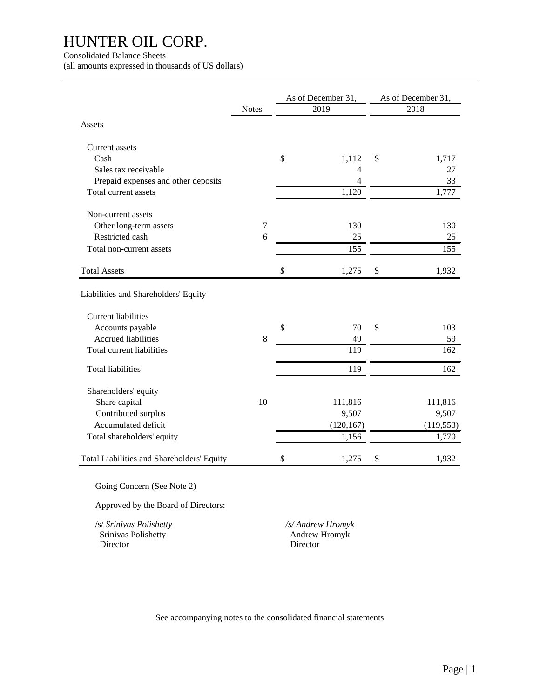### Consolidated Balance Sheets

(all amounts expressed in thousands of US dollars)

|                                       | As of December 31, |    | As of December 31, |    |            |
|---------------------------------------|--------------------|----|--------------------|----|------------|
|                                       | <b>Notes</b>       |    | 2019               |    | 2018       |
| Assets                                |                    |    |                    |    |            |
| <b>Current</b> assets                 |                    |    |                    |    |            |
| Cash                                  |                    | \$ | 1,112              | \$ | 1,717      |
| Sales tax receivable                  |                    |    | $\overline{4}$     |    | 27         |
| Prepaid expenses and other deposits   |                    |    | $\overline{4}$     |    | 33         |
| Total current assets                  |                    |    | 1,120              |    | 1,777      |
| Non-current assets                    |                    |    |                    |    |            |
| Other long-term assets                | 7                  |    | 130                |    | 130        |
| Restricted cash                       | 6                  |    | 25                 |    | 25         |
| Total non-current assets              |                    |    | 155                |    | 155        |
|                                       |                    |    |                    | \$ | 1,932      |
| <b>Total Assets</b>                   |                    | \$ | 1,275              |    |            |
| Liabilities and Shareholders' Equity  |                    |    |                    |    |            |
| <b>Current liabilities</b>            |                    |    |                    |    |            |
| Accounts payable                      |                    | \$ | 70                 | \$ | 103        |
| <b>Accrued liabilities</b>            | 8                  |    | 49                 |    | 59         |
| Total current liabilities             |                    |    | 119                |    | 162        |
| <b>Total liabilities</b>              |                    |    | 119                |    | 162        |
|                                       |                    |    |                    |    |            |
| Shareholders' equity<br>Share capital | 10                 |    | 111,816            |    | 111,816    |
| Contributed surplus                   |                    |    | 9,507              |    | 9,507      |
| Accumulated deficit                   |                    |    | (120, 167)         |    | (119, 553) |
| Total shareholders' equity            |                    |    | 1,156              |    | 1,770      |

Going Concern (See Note 2)

Approved by the Board of Directors:

/s/ *Srinivas Polishetty /s/ Andrew Hromyk* **Srinivas Polishetty** Andrew **Andrew Director** Director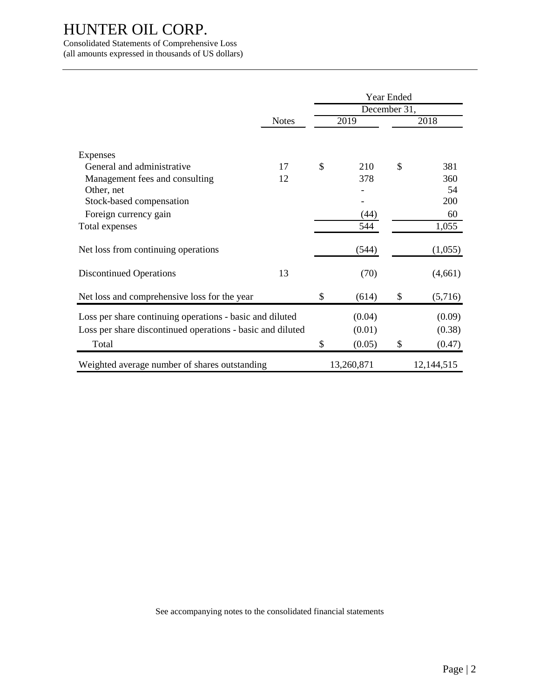Consolidated Statements of Comprehensive Loss (all amounts expressed in thousands of US dollars)

|                                                            |              |              | Year Ended<br>December 31, |            |  |  |  |
|------------------------------------------------------------|--------------|--------------|----------------------------|------------|--|--|--|
|                                                            | <b>Notes</b> | 2019         |                            | 2018       |  |  |  |
|                                                            |              |              |                            |            |  |  |  |
| Expenses                                                   |              |              |                            |            |  |  |  |
| General and administrative                                 | 17           | \$<br>210    | \$                         | 381        |  |  |  |
| Management fees and consulting                             | 12           | 378          |                            | 360        |  |  |  |
| Other, net                                                 |              |              |                            | 54         |  |  |  |
| Stock-based compensation                                   |              |              |                            | 200        |  |  |  |
| Foreign currency gain                                      |              | (44)         |                            | 60         |  |  |  |
| Total expenses                                             |              | 544          |                            | 1,055      |  |  |  |
| Net loss from continuing operations                        |              | (544)        |                            | (1,055)    |  |  |  |
| <b>Discontinued Operations</b>                             | 13           | (70)         |                            | (4,661)    |  |  |  |
| Net loss and comprehensive loss for the year               |              | \$<br>(614)  | \$                         | (5,716)    |  |  |  |
| Loss per share continuing operations - basic and diluted   |              | (0.04)       |                            | (0.09)     |  |  |  |
| Loss per share discontinued operations - basic and diluted |              | (0.01)       |                            | (0.38)     |  |  |  |
| Total                                                      |              | \$<br>(0.05) | \$                         | (0.47)     |  |  |  |
| Weighted average number of shares outstanding              |              | 13,260,871   |                            | 12,144,515 |  |  |  |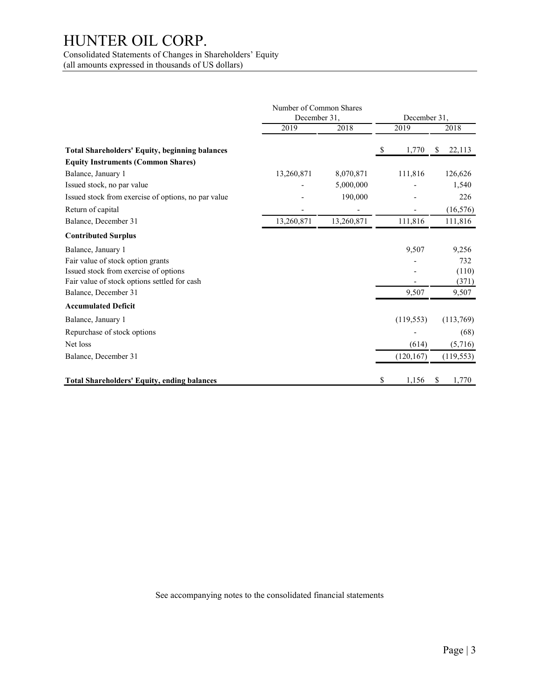| HUNTER OIL CORP.<br>Consolidated Statements of Changes in Shareholders' Equity<br>(all amounts expressed in thousands of US dollars) |                                         |                              |                                     |                        |
|--------------------------------------------------------------------------------------------------------------------------------------|-----------------------------------------|------------------------------|-------------------------------------|------------------------|
|                                                                                                                                      | Number of Common Shares<br>December 31. |                              | December 31,                        |                        |
|                                                                                                                                      | 2019                                    | 2018                         | 2019                                | 2018                   |
| Total Shareholders' Equity, beginning balances<br><b>Equity Instruments (Common Shares)</b>                                          |                                         |                              | 1,770<br>S                          | $\mathbb{S}$<br>22,113 |
| Balance, January 1<br>Issued stock, no par value                                                                                     | 13,260,871                              | 8,070,871<br>5,000,000       | 111,816<br>$\overline{\phantom{a}}$ | 126,626<br>1,540       |
| Issued stock from exercise of options, no par value                                                                                  |                                         | 190,000                      |                                     | 226                    |
| Return of capital                                                                                                                    | $\overline{a}$                          | $\qquad \qquad \blacksquare$ | $\blacksquare$                      | (16, 576)              |
| Balance, December 31                                                                                                                 | 13,260,871                              | 13,260,871                   | 111,816                             | 111,816                |
| <b>Contributed Surplus</b>                                                                                                           |                                         |                              |                                     |                        |
| Balance, January 1                                                                                                                   |                                         |                              | 9,507                               | 9,256                  |
| Fair value of stock option grants<br>Issued stock from exercise of options<br>Fair value of stock options settled for cash           |                                         |                              | $\sim$<br>$\overline{a}$            | 732<br>(110)<br>(371)  |
| Balance, December 31                                                                                                                 |                                         |                              | 9,507                               | 9,507                  |
| <b>Accumulated Deficit</b>                                                                                                           |                                         |                              |                                     |                        |
| Balance, January 1                                                                                                                   |                                         |                              | (119, 553)                          | (113,769)              |
| Repurchase of stock options                                                                                                          |                                         |                              | $\overline{\phantom{a}}$            | (68)                   |
| Net loss<br>Balance, December 31                                                                                                     |                                         |                              | (614)                               | (5,716)                |
|                                                                                                                                      |                                         |                              | (120, 167)                          | (119, 553)             |
| <b>Total Shareholders' Equity, ending balances</b>                                                                                   |                                         |                              | \$<br>1,156                         | \$<br>1,770            |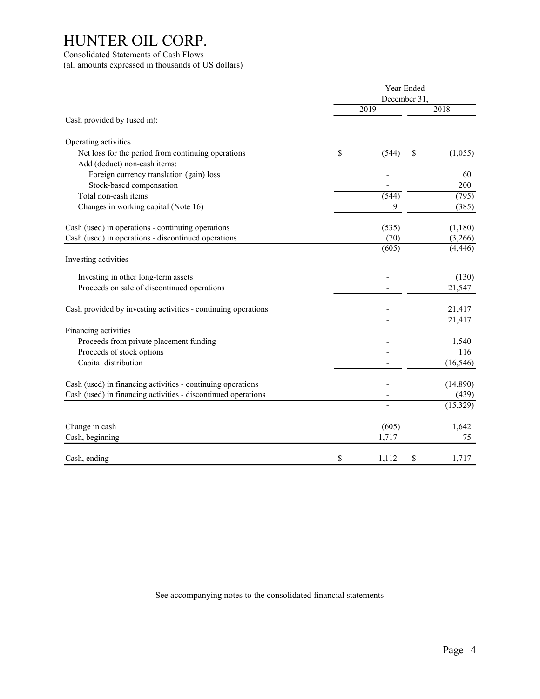### Consolidated Statements of Cash Flows

(all amounts expressed in thousands of US dollars)

|                                                               | Year Ended               | December 31,  |
|---------------------------------------------------------------|--------------------------|---------------|
|                                                               | 2019                     | 2018          |
| Cash provided by (used in):                                   |                          |               |
| Operating activities                                          |                          |               |
| Net loss for the period from continuing operations            | \$<br>(544)              | \$<br>(1,055) |
| Add (deduct) non-cash items:                                  |                          |               |
| Foreign currency translation (gain) loss                      |                          | 60            |
| Stock-based compensation                                      |                          | 200           |
| Total non-cash items                                          | (544)                    | (795)         |
| Changes in working capital (Note 16)                          | 9                        | (385)         |
| Cash (used) in operations - continuing operations             | (535)                    | (1,180)       |
| Cash (used) in operations - discontinued operations           | (70)                     | (3,266)       |
|                                                               | (605)                    | (4, 446)      |
| Investing activities                                          |                          |               |
| Investing in other long-term assets                           |                          | (130)         |
| Proceeds on sale of discontinued operations                   |                          | 21,547        |
| Cash provided by investing activities - continuing operations |                          | 21,417        |
|                                                               |                          | 21,417        |
| Financing activities                                          |                          |               |
| Proceeds from private placement funding                       |                          | 1,540         |
| Proceeds of stock options                                     |                          | 116           |
| Capital distribution                                          |                          | (16, 546)     |
| Cash (used) in financing activities - continuing operations   |                          | (14,890)      |
| Cash (used) in financing activities - discontinued operations | $\overline{\phantom{a}}$ | (439)         |
|                                                               | L,                       | (15,329)      |
| Change in cash                                                | (605)                    | 1,642         |
| Cash, beginning                                               | 1,717                    | 75            |
|                                                               |                          |               |
| Cash, ending                                                  | \$<br>1,112              | \$<br>1,717   |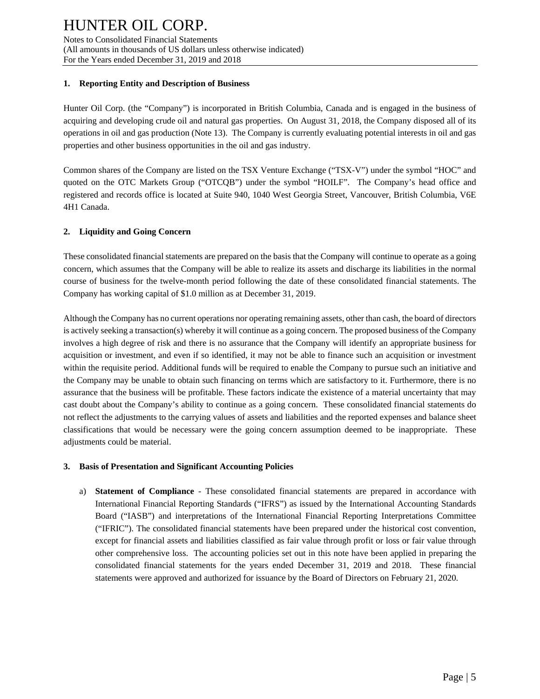### **1. Reporting Entity and Description of Business**

Hunter Oil Corp. (the "Company") is incorporated in British Columbia, Canada and is engaged in the business of acquiring and developing crude oil and natural gas properties. On August 31, 2018, the Company disposed all of its operations in oil and gas production (Note 13). The Company is currently evaluating potential interests in oil and gas properties and other business opportunities in the oil and gas industry.

Common shares of the Company are listed on the TSX Venture Exchange ("TSX-V") under the symbol "HOC" and quoted on the OTC Markets Group ("OTCQB") under the symbol "HOILF". The Company's head office and registered and records office is located at Suite 940, 1040 West Georgia Street, Vancouver, British Columbia, V6E 4H1 Canada.

### **2. Liquidity and Going Concern**

These consolidated financial statements are prepared on the basis that the Company will continue to operate as a going concern, which assumes that the Company will be able to realize its assets and discharge its liabilities in the normal course of business for the twelve-month period following the date of these consolidated financial statements. The Company has working capital of \$1.0 million as at December 31, 2019.

Although the Company has no current operations nor operating remaining assets, other than cash, the board of directors is actively seeking a transaction(s) whereby it will continue as a going concern. The proposed business of the Company involves a high degree of risk and there is no assurance that the Company will identify an appropriate business for acquisition or investment, and even if so identified, it may not be able to finance such an acquisition or investment within the requisite period. Additional funds will be required to enable the Company to pursue such an initiative and the Company may be unable to obtain such financing on terms which are satisfactory to it. Furthermore, there is no assurance that the business will be profitable. These factors indicate the existence of a material uncertainty that may cast doubt about the Company's ability to continue as a going concern. These consolidated financial statements do not reflect the adjustments to the carrying values of assets and liabilities and the reported expenses and balance sheet classifications that would be necessary were the going concern assumption deemed to be inappropriate. These adjustments could be material.

#### **3. Basis of Presentation and Significant Accounting Policies**

a) **Statement of Compliance** - These consolidated financial statements are prepared in accordance with International Financial Reporting Standards ("IFRS") as issued by the International Accounting Standards Board ("IASB") and interpretations of the International Financial Reporting Interpretations Committee ("IFRIC"). The consolidated financial statements have been prepared under the historical cost convention, except for financial assets and liabilities classified as fair value through profit or loss or fair value through other comprehensive loss. The accounting policies set out in this note have been applied in preparing the consolidated financial statements for the years ended December 31, 2019 and 2018. These financial statements were approved and authorized for issuance by the Board of Directors on February 21, 2020.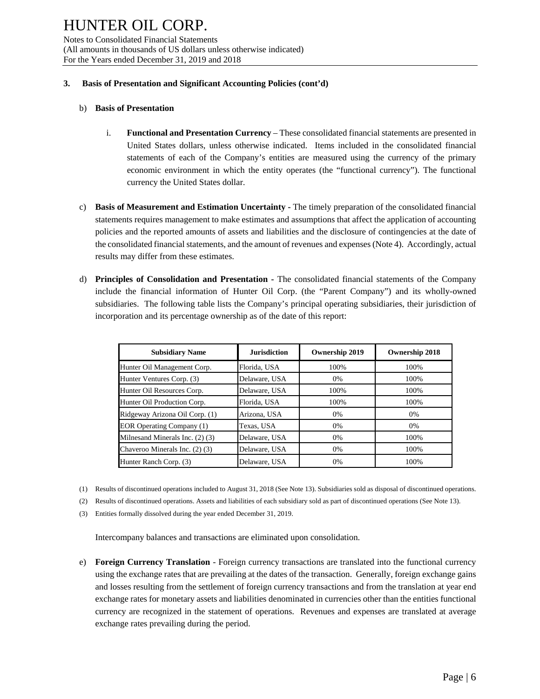#### **3. Basis of Presentation and Significant Accounting Policies (cont'd)**

### b) **Basis of Presentation**

- i. **Functional and Presentation Currency**  These consolidated financial statements are presented in United States dollars, unless otherwise indicated. Items included in the consolidated financial statements of each of the Company's entities are measured using the currency of the primary economic environment in which the entity operates (the "functional currency"). The functional currency the United States dollar.
- c) **Basis of Measurement and Estimation Uncertainty -** The timely preparation of the consolidated financial statements requires management to make estimates and assumptions that affect the application of accounting policies and the reported amounts of assets and liabilities and the disclosure of contingencies at the date of the consolidated financial statements, and the amount of revenues and expenses (Note 4). Accordingly, actual results may differ from these estimates.
- d) **Principles of Consolidation and Presentation -** The consolidated financial statements of the Company include the financial information of Hunter Oil Corp. (the "Parent Company") and its wholly-owned subsidiaries. The following table lists the Company's principal operating subsidiaries, their jurisdiction of incorporation and its percentage ownership as of the date of this report:

| <b>Subsidiary Name</b>          | <b>Jurisdiction</b> | Ownership 2019 | Ownership 2018 |
|---------------------------------|---------------------|----------------|----------------|
| Hunter Oil Management Corp.     | Florida, USA        | 100\%          | 100%           |
| Hunter Ventures Corp. (3)       | Delaware, USA       | 0%             | 100%           |
| Hunter Oil Resources Corp.      | Delaware, USA       | 100%           | 100%           |
| Hunter Oil Production Corp.     | Florida, USA        | 100%           | 100%           |
| Ridgeway Arizona Oil Corp. (1)  | Arizona, USA        | 0%             | $0\%$          |
| EOR Operating Company (1)       | Texas, USA          | 0%             | 0%             |
| Milnesand Minerals Inc. (2) (3) | Delaware, USA       | 0%             | 100%           |
| Chaveroo Minerals Inc. (2) (3)  | Delaware, USA       | 0%             | 100%           |
| Hunter Ranch Corp. (3)          | Delaware, USA       | 0%             | 100%           |

(1) Results of discontinued operations included to August 31, 2018 (See Note 13). Subsidiaries sold as disposal of discontinued operations.

(2) Results of discontinued operations. Assets and liabilities of each subsidiary sold as part of discontinued operations (See Note 13).

(3) Entities formally dissolved during the year ended December 31, 2019.

Intercompany balances and transactions are eliminated upon consolidation.

e) **Foreign Currency Translation** - Foreign currency transactions are translated into the functional currency using the exchange rates that are prevailing at the dates of the transaction. Generally, foreign exchange gains and losses resulting from the settlement of foreign currency transactions and from the translation at year end exchange rates for monetary assets and liabilities denominated in currencies other than the entities functional currency are recognized in the statement of operations. Revenues and expenses are translated at average exchange rates prevailing during the period.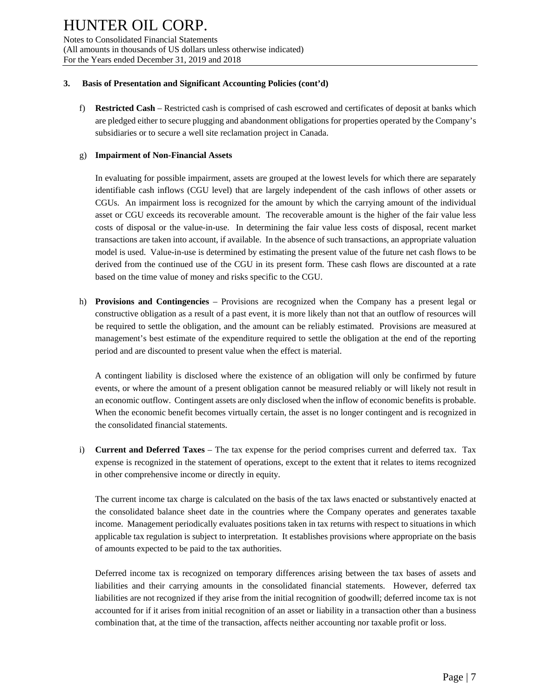#### **3. Basis of Presentation and Significant Accounting Policies (cont'd)**

f) **Restricted Cash** – Restricted cash is comprised of cash escrowed and certificates of deposit at banks which are pledged either to secure plugging and abandonment obligations for properties operated by the Company's subsidiaries or to secure a well site reclamation project in Canada.

### g) **Impairment of Non-Financial Assets**

In evaluating for possible impairment, assets are grouped at the lowest levels for which there are separately identifiable cash inflows (CGU level) that are largely independent of the cash inflows of other assets or CGUs. An impairment loss is recognized for the amount by which the carrying amount of the individual asset or CGU exceeds its recoverable amount. The recoverable amount is the higher of the fair value less costs of disposal or the value-in-use. In determining the fair value less costs of disposal, recent market transactions are taken into account, if available. In the absence of such transactions, an appropriate valuation model is used. Value-in-use is determined by estimating the present value of the future net cash flows to be derived from the continued use of the CGU in its present form. These cash flows are discounted at a rate based on the time value of money and risks specific to the CGU.

h) **Provisions and Contingencies** – Provisions are recognized when the Company has a present legal or constructive obligation as a result of a past event, it is more likely than not that an outflow of resources will be required to settle the obligation, and the amount can be reliably estimated. Provisions are measured at management's best estimate of the expenditure required to settle the obligation at the end of the reporting period and are discounted to present value when the effect is material.

A contingent liability is disclosed where the existence of an obligation will only be confirmed by future events, or where the amount of a present obligation cannot be measured reliably or will likely not result in an economic outflow. Contingent assets are only disclosed when the inflow of economic benefits is probable. When the economic benefit becomes virtually certain, the asset is no longer contingent and is recognized in the consolidated financial statements.

i) **Current and Deferred Taxes** – The tax expense for the period comprises current and deferred tax. Tax expense is recognized in the statement of operations, except to the extent that it relates to items recognized in other comprehensive income or directly in equity.

The current income tax charge is calculated on the basis of the tax laws enacted or substantively enacted at the consolidated balance sheet date in the countries where the Company operates and generates taxable income. Management periodically evaluates positions taken in tax returns with respect to situations in which applicable tax regulation is subject to interpretation. It establishes provisions where appropriate on the basis of amounts expected to be paid to the tax authorities.

Deferred income tax is recognized on temporary differences arising between the tax bases of assets and liabilities and their carrying amounts in the consolidated financial statements. However, deferred tax liabilities are not recognized if they arise from the initial recognition of goodwill; deferred income tax is not accounted for if it arises from initial recognition of an asset or liability in a transaction other than a business combination that, at the time of the transaction, affects neither accounting nor taxable profit or loss.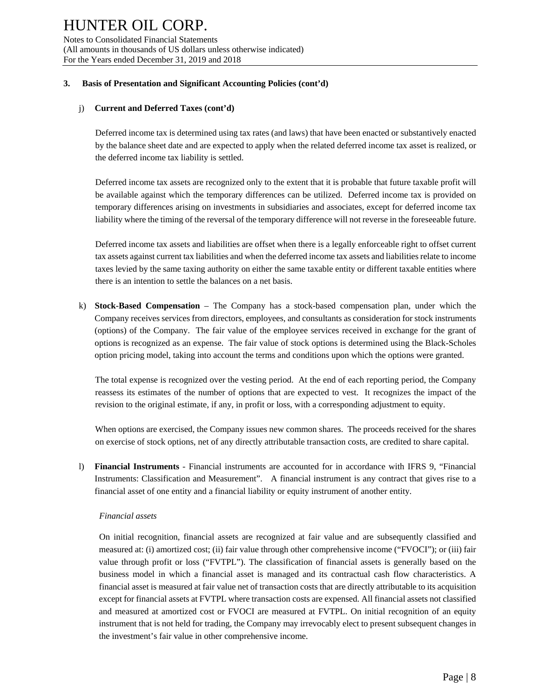Notes to Consolidated Financial Statements (All amounts in thousands of US dollars unless otherwise indicated) For the Years ended December 31, 2019 and 2018

#### **3. Basis of Presentation and Significant Accounting Policies (cont'd)**

#### j) **Current and Deferred Taxes (cont'd)**

Deferred income tax is determined using tax rates (and laws) that have been enacted or substantively enacted by the balance sheet date and are expected to apply when the related deferred income tax asset is realized, or the deferred income tax liability is settled.

Deferred income tax assets are recognized only to the extent that it is probable that future taxable profit will be available against which the temporary differences can be utilized. Deferred income tax is provided on temporary differences arising on investments in subsidiaries and associates, except for deferred income tax liability where the timing of the reversal of the temporary difference will not reverse in the foreseeable future.

Deferred income tax assets and liabilities are offset when there is a legally enforceable right to offset current tax assets against current tax liabilities and when the deferred income tax assets and liabilities relate to income taxes levied by the same taxing authority on either the same taxable entity or different taxable entities where there is an intention to settle the balances on a net basis.

k) **Stock-Based Compensation** – The Company has a stock-based compensation plan, under which the Company receives services from directors, employees, and consultants as consideration for stock instruments (options) of the Company. The fair value of the employee services received in exchange for the grant of options is recognized as an expense. The fair value of stock options is determined using the Black-Scholes option pricing model, taking into account the terms and conditions upon which the options were granted.

The total expense is recognized over the vesting period. At the end of each reporting period, the Company reassess its estimates of the number of options that are expected to vest. It recognizes the impact of the revision to the original estimate, if any, in profit or loss, with a corresponding adjustment to equity.

When options are exercised, the Company issues new common shares. The proceeds received for the shares on exercise of stock options, net of any directly attributable transaction costs, are credited to share capital.

l) **Financial Instruments** *-* Financial instruments are accounted for in accordance with IFRS 9, "Financial Instruments: Classification and Measurement". A financial instrument is any contract that gives rise to a financial asset of one entity and a financial liability or equity instrument of another entity.

#### *Financial assets*

On initial recognition, financial assets are recognized at fair value and are subsequently classified and measured at: (i) amortized cost; (ii) fair value through other comprehensive income ("FVOCI"); or (iii) fair value through profit or loss ("FVTPL"). The classification of financial assets is generally based on the business model in which a financial asset is managed and its contractual cash flow characteristics. A financial asset is measured at fair value net of transaction costs that are directly attributable to its acquisition except for financial assets at FVTPL where transaction costs are expensed. All financial assets not classified and measured at amortized cost or FVOCI are measured at FVTPL. On initial recognition of an equity instrument that is not held for trading, the Company may irrevocably elect to present subsequent changes in the investment's fair value in other comprehensive income.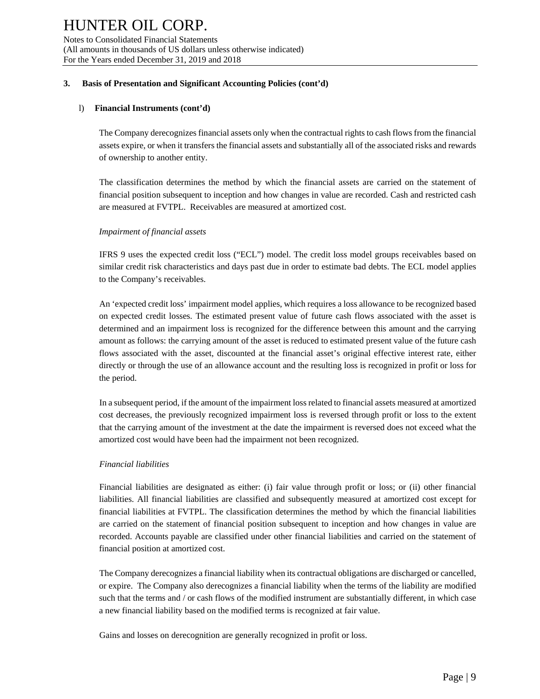Notes to Consolidated Financial Statements (All amounts in thousands of US dollars unless otherwise indicated) For the Years ended December 31, 2019 and 2018

#### **3. Basis of Presentation and Significant Accounting Policies (cont'd)**

#### l) **Financial Instruments (cont'd)**

The Company derecognizes financial assets only when the contractual rights to cash flows from the financial assets expire, or when it transfers the financial assets and substantially all of the associated risks and rewards of ownership to another entity.

The classification determines the method by which the financial assets are carried on the statement of financial position subsequent to inception and how changes in value are recorded. Cash and restricted cash are measured at FVTPL. Receivables are measured at amortized cost.

### *Impairment of financial assets*

IFRS 9 uses the expected credit loss ("ECL") model. The credit loss model groups receivables based on similar credit risk characteristics and days past due in order to estimate bad debts. The ECL model applies to the Company's receivables.

An 'expected credit loss' impairment model applies, which requires a loss allowance to be recognized based on expected credit losses. The estimated present value of future cash flows associated with the asset is determined and an impairment loss is recognized for the difference between this amount and the carrying amount as follows: the carrying amount of the asset is reduced to estimated present value of the future cash flows associated with the asset, discounted at the financial asset's original effective interest rate, either directly or through the use of an allowance account and the resulting loss is recognized in profit or loss for the period.

In a subsequent period, if the amount of the impairment loss related to financial assets measured at amortized cost decreases, the previously recognized impairment loss is reversed through profit or loss to the extent that the carrying amount of the investment at the date the impairment is reversed does not exceed what the amortized cost would have been had the impairment not been recognized.

#### *Financial liabilities*

Financial liabilities are designated as either: (i) fair value through profit or loss; or (ii) other financial liabilities. All financial liabilities are classified and subsequently measured at amortized cost except for financial liabilities at FVTPL. The classification determines the method by which the financial liabilities are carried on the statement of financial position subsequent to inception and how changes in value are recorded. Accounts payable are classified under other financial liabilities and carried on the statement of financial position at amortized cost.

The Company derecognizes a financial liability when its contractual obligations are discharged or cancelled, or expire. The Company also derecognizes a financial liability when the terms of the liability are modified such that the terms and / or cash flows of the modified instrument are substantially different, in which case a new financial liability based on the modified terms is recognized at fair value.

Gains and losses on derecognition are generally recognized in profit or loss.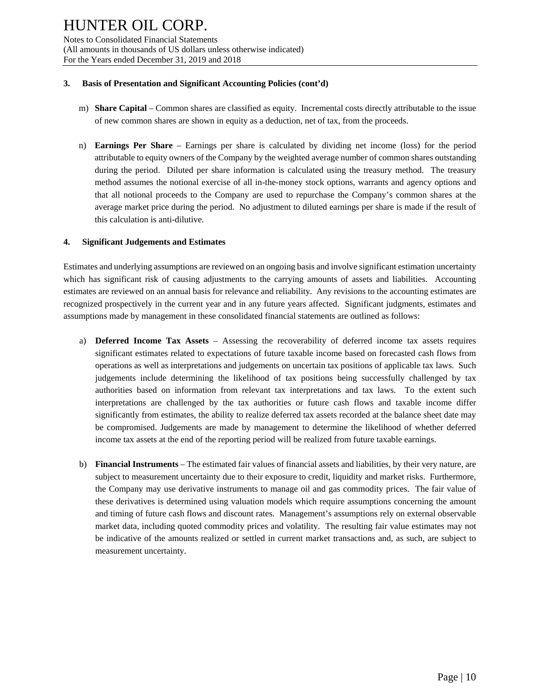#### **3. Basis of Presentation and Significant Accounting Policies (cont'd)**

- m) **Share Capital** Common shares are classified as equity. Incremental costs directly attributable to the issue of new common shares are shown in equity as a deduction, net of tax, from the proceeds.
- n) **Earnings Per Share** *–* Earnings per share is calculated by dividing net income (loss) for the period attributable to equity owners of the Company by the weighted average number of common shares outstanding during the period. Diluted per share information is calculated using the treasury method. The treasury method assumes the notional exercise of all in-the-money stock options, warrants and agency options and that all notional proceeds to the Company are used to repurchase the Company's common shares at the average market price during the period. No adjustment to diluted earnings per share is made if the result of this calculation is anti-dilutive.

### **4. Significant Judgements and Estimates**

Estimates and underlying assumptions are reviewed on an ongoing basis and involve significant estimation uncertainty which has significant risk of causing adjustments to the carrying amounts of assets and liabilities. Accounting estimates are reviewed on an annual basis for relevance and reliability. Any revisions to the accounting estimates are recognized prospectively in the current year and in any future years affected. Significant judgments, estimates and assumptions made by management in these consolidated financial statements are outlined as follows:

- a) **Deferred Income Tax Assets** Assessing the recoverability of deferred income tax assets requires significant estimates related to expectations of future taxable income based on forecasted cash flows from operations as well as interpretations and judgements on uncertain tax positions of applicable tax laws. Such judgements include determining the likelihood of tax positions being successfully challenged by tax authorities based on information from relevant tax interpretations and tax laws. To the extent such interpretations are challenged by the tax authorities or future cash flows and taxable income differ significantly from estimates, the ability to realize deferred tax assets recorded at the balance sheet date may be compromised. Judgements are made by management to determine the likelihood of whether deferred income tax assets at the end of the reporting period will be realized from future taxable earnings.
- b) **Financial Instruments** The estimated fair values of financial assets and liabilities, by their very nature, are subject to measurement uncertainty due to their exposure to credit, liquidity and market risks. Furthermore, the Company may use derivative instruments to manage oil and gas commodity prices. The fair value of these derivatives is determined using valuation models which require assumptions concerning the amount and timing of future cash flows and discount rates. Management's assumptions rely on external observable market data, including quoted commodity prices and volatility. The resulting fair value estimates may not be indicative of the amounts realized or settled in current market transactions and, as such, are subject to measurement uncertainty.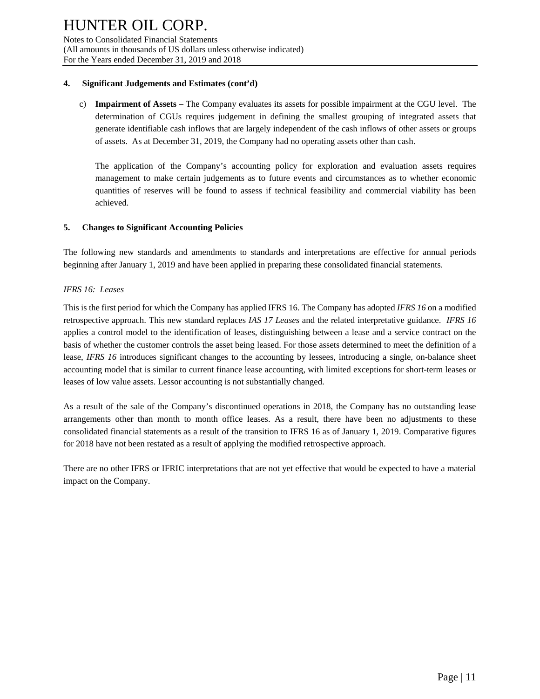#### **4. Significant Judgements and Estimates (cont'd)**

c) **Impairment of Assets** – The Company evaluates its assets for possible impairment at the CGU level. The determination of CGUs requires judgement in defining the smallest grouping of integrated assets that generate identifiable cash inflows that are largely independent of the cash inflows of other assets or groups of assets. As at December 31, 2019, the Company had no operating assets other than cash.

The application of the Company's accounting policy for exploration and evaluation assets requires management to make certain judgements as to future events and circumstances as to whether economic quantities of reserves will be found to assess if technical feasibility and commercial viability has been achieved.

### **5. Changes to Significant Accounting Policies**

The following new standards and amendments to standards and interpretations are effective for annual periods beginning after January 1, 2019 and have been applied in preparing these consolidated financial statements.

### *IFRS 16: Leases*

This is the first period for which the Company has applied IFRS 16. The Company has adopted *IFRS 16* on a modified retrospective approach. This new standard replaces *IAS 17 Leases* and the related interpretative guidance. *IFRS 16*  applies a control model to the identification of leases, distinguishing between a lease and a service contract on the basis of whether the customer controls the asset being leased. For those assets determined to meet the definition of a lease, *IFRS 16* introduces significant changes to the accounting by lessees, introducing a single, on-balance sheet accounting model that is similar to current finance lease accounting, with limited exceptions for short-term leases or leases of low value assets. Lessor accounting is not substantially changed.

As a result of the sale of the Company's discontinued operations in 2018, the Company has no outstanding lease arrangements other than month to month office leases. As a result, there have been no adjustments to these consolidated financial statements as a result of the transition to IFRS 16 as of January 1, 2019. Comparative figures for 2018 have not been restated as a result of applying the modified retrospective approach.

There are no other IFRS or IFRIC interpretations that are not yet effective that would be expected to have a material impact on the Company.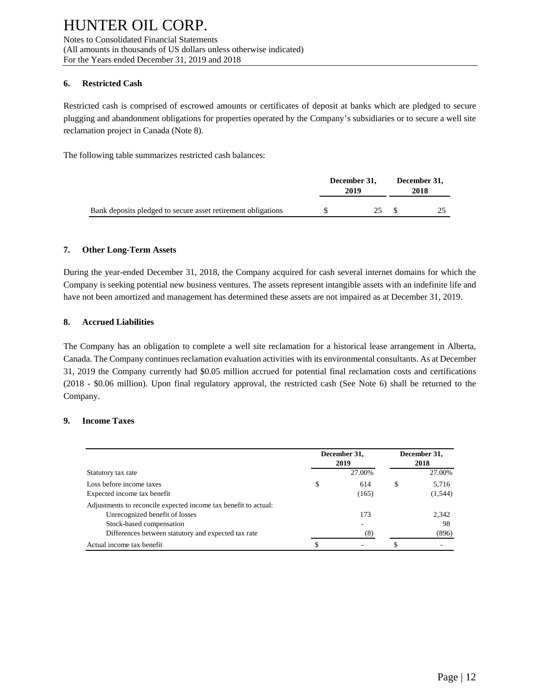### **6. Restricted Cash**

Restricted cash is comprised of escrowed amounts or certificates of deposit at banks which are pledged to secure plugging and abandonment obligations for properties operated by the Company's subsidiaries or to secure a well site reclamation project in Canada (Note 8).

The following table summarizes restricted cash balances:

|                                                              | December 31,<br>2019 |     | December 31,<br>2018 |
|--------------------------------------------------------------|----------------------|-----|----------------------|
| Bank deposits pledged to secure asset retirement obligations |                      | 25. |                      |

### **7. Other Long-Term Assets**

During the year-ended December 31, 2018, the Company acquired for cash several internet domains for which the Company is seeking potential new business ventures. The assets represent intangible assets with an indefinite life and have not been amortized and management has determined these assets are not impaired as at December 31, 2019.

### **8. Accrued Liabilities**

The Company has an obligation to complete a well site reclamation for a historical lease arrangement in Alberta, Canada. The Company continues reclamation evaluation activities with its environmental consultants. As at December 31, 2019 the Company currently had \$0.05 million accrued for potential final reclamation costs and certifications (2018 - \$0.06 million). Upon final regulatory approval, the restricted cash (See Note 6) shall be returned to the Company.

#### **9. Income Taxes**

|                                                                 | December 31,<br>2019 |    | December 31,<br>2018 |
|-----------------------------------------------------------------|----------------------|----|----------------------|
| Statutory tax rate                                              | 27.00%               |    | 27.00%               |
| Loss before income taxes                                        | \$<br>614            | S  | 5,716                |
| Expected income tax benefit                                     | (165)                |    | (1,544)              |
| Adjustments to reconcile expected income tax benefit to actual: |                      |    |                      |
| Unrecognized benefit of losses                                  | 173                  |    | 2,342                |
| Stock-based compensation                                        |                      |    | 98                   |
| Differences between statutory and expected tax rate             | (8)                  |    | (896)                |
| Actual income tax benefit                                       |                      | \$ |                      |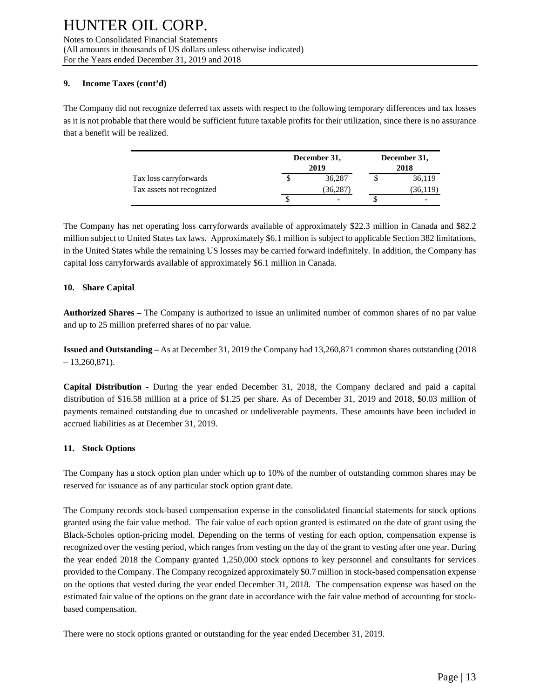#### **9. Income Taxes (cont'd)**

The Company did not recognize deferred tax assets with respect to the following temporary differences and tax losses as it is not probable that there would be sufficient future taxable profits for their utilization, since there is no assurance that a benefit will be realized.

|                           | December 31, | December 31,<br>2018 |  |           |
|---------------------------|--------------|----------------------|--|-----------|
| Tax loss carryforwards    |              | 36,287               |  | 36,119    |
| Tax assets not recognized |              | (36, 287)            |  | (36, 119) |
|                           |              |                      |  |           |

The Company has net operating loss carryforwards available of approximately \$22.3 million in Canada and \$82.2 million subject to United States tax laws. Approximately \$6.1 million is subject to applicable Section 382 limitations, in the United States while the remaining US losses may be carried forward indefinitely. In addition, the Company has capital loss carryforwards available of approximately \$6.1 million in Canada.

#### **10. Share Capital**

**Authorized Shares –** The Company is authorized to issue an unlimited number of common shares of no par value and up to 25 million preferred shares of no par value.

**Issued and Outstanding –** As at December 31, 2019 the Company had 13,260,871 common shares outstanding (2018  $-13,260,871$ .

**Capital Distribution -** During the year ended December 31, 2018, the Company declared and paid a capital distribution of \$16.58 million at a price of \$1.25 per share. As of December 31, 2019 and 2018, \$0.03 million of payments remained outstanding due to uncashed or undeliverable payments. These amounts have been included in accrued liabilities as at December 31, 2019.

#### **11. Stock Options**

The Company has a stock option plan under which up to 10% of the number of outstanding common shares may be reserved for issuance as of any particular stock option grant date.

The Company records stock-based compensation expense in the consolidated financial statements for stock options granted using the fair value method. The fair value of each option granted is estimated on the date of grant using the Black-Scholes option-pricing model. Depending on the terms of vesting for each option, compensation expense is recognized over the vesting period, which ranges from vesting on the day of the grant to vesting after one year. During the year ended 2018 the Company granted 1,250,000 stock options to key personnel and consultants for services provided to the Company. The Company recognized approximately \$0.7 million in stock-based compensation expense on the options that vested during the year ended December 31, 2018. The compensation expense was based on the estimated fair value of the options on the grant date in accordance with the fair value method of accounting for stockbased compensation.

There were no stock options granted or outstanding for the year ended December 31, 2019.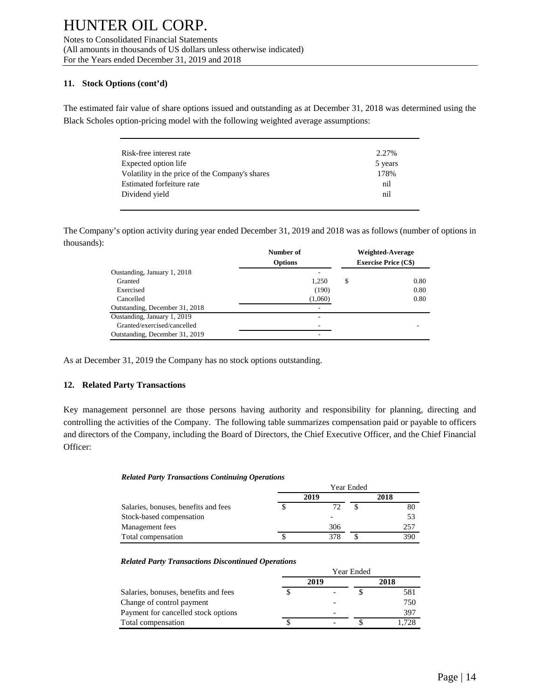#### **11. Stock Options (cont'd)**

The estimated fair value of share options issued and outstanding as at December 31, 2018 was determined using the Black Scholes option-pricing model with the following weighted average assumptions:

| 2.27%<br>5 years |
|------------------|
|                  |
|                  |
| 178%             |
| nil              |
| nil              |
|                  |

The Company's option activity during year ended December 31, 2019 and 2018 was as follows (number of options in thousands):

|                                | Number of      | Weighted-Average            |
|--------------------------------|----------------|-----------------------------|
|                                | <b>Options</b> | <b>Exercise Price (C\$)</b> |
| Oustanding, January 1, 2018    |                |                             |
| Granted                        | 1.250          | \$<br>0.80                  |
| Exercised                      | (190)          | 0.80                        |
| Cancelled                      | (1,060)        | 0.80                        |
| Outstanding, December 31, 2018 |                |                             |
| Oustanding, January 1, 2019    |                |                             |
| Granted/exercised/cancelled    |                |                             |
| Outstanding, December 31, 2019 |                |                             |
|                                |                |                             |

As at December 31, 2019 the Company has no stock options outstanding.

#### **12. Related Party Transactions**

Key management personnel are those persons having authority and responsibility for planning, directing and controlling the activities of the Company. The following table summarizes compensation paid or payable to officers and directors of the Company, including the Board of Directors, the Chief Executive Officer, and the Chief Financial Officer:

#### *Related Party Transactions Continuing Operations*

|                                      | Year Ended |      |   |      |  |  |  |
|--------------------------------------|------------|------|---|------|--|--|--|
|                                      |            | 2019 |   | 2018 |  |  |  |
| Salaries, bonuses, benefits and fees | S          | 72   | S | 80   |  |  |  |
| Stock-based compensation             |            |      |   | 53   |  |  |  |
| Management fees                      |            | 306  |   | 257  |  |  |  |
| Total compensation                   |            | 378  |   | 390  |  |  |  |

#### *Related Party Transactions Discontinued Operations*

|                                      |      | Year Ended |      |  |  |
|--------------------------------------|------|------------|------|--|--|
|                                      | 2019 |            | 2018 |  |  |
| Salaries, bonuses, benefits and fees |      |            | 581  |  |  |
| Change of control payment            |      |            | 750  |  |  |
| Payment for cancelled stock options  |      |            | 397  |  |  |
| Total compensation                   |      |            | .728 |  |  |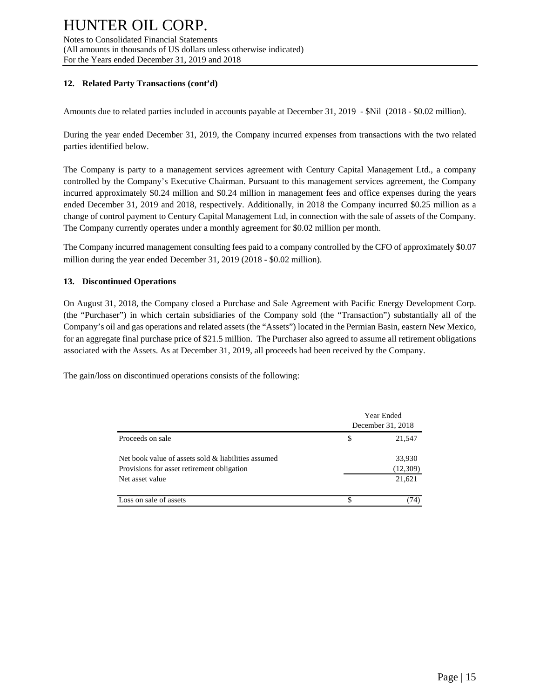Notes to Consolidated Financial Statements (All amounts in thousands of US dollars unless otherwise indicated) For the Years ended December 31, 2019 and 2018

### **12. Related Party Transactions (cont'd)**

Amounts due to related parties included in accounts payable at December 31, 2019 - \$Nil (2018 - \$0.02 million).

During the year ended December 31, 2019, the Company incurred expenses from transactions with the two related parties identified below.

The Company is party to a management services agreement with Century Capital Management Ltd., a company controlled by the Company's Executive Chairman. Pursuant to this management services agreement, the Company incurred approximately \$0.24 million and \$0.24 million in management fees and office expenses during the years ended December 31, 2019 and 2018, respectively. Additionally, in 2018 the Company incurred \$0.25 million as a change of control payment to Century Capital Management Ltd, in connection with the sale of assets of the Company. The Company currently operates under a monthly agreement for \$0.02 million per month.

The Company incurred management consulting fees paid to a company controlled by the CFO of approximately \$0.07 million during the year ended December 31, 2019 (2018 - \$0.02 million).

### **13. Discontinued Operations**

On August 31, 2018, the Company closed a Purchase and Sale Agreement with Pacific Energy Development Corp. (the "Purchaser") in which certain subsidiaries of the Company sold (the "Transaction") substantially all of the Company's oil and gas operations and related assets (the "Assets") located in the Permian Basin, eastern New Mexico, for an aggregate final purchase price of \$21.5 million. The Purchaser also agreed to assume all retirement obligations associated with the Assets. As at December 31, 2019, all proceeds had been received by the Company.

The gain/loss on discontinued operations consists of the following:

|                                                     | Year Ended |                   |  |
|-----------------------------------------------------|------------|-------------------|--|
|                                                     |            | December 31, 2018 |  |
| Proceeds on sale                                    | S          | 21,547            |  |
| Net book value of assets sold & liabilities assumed |            | 33,930            |  |
| Provisions for asset retirement obligation          |            | (12,309)          |  |
| Net asset value                                     |            | 21,621            |  |
| Loss on sale of assets                              |            | 74)               |  |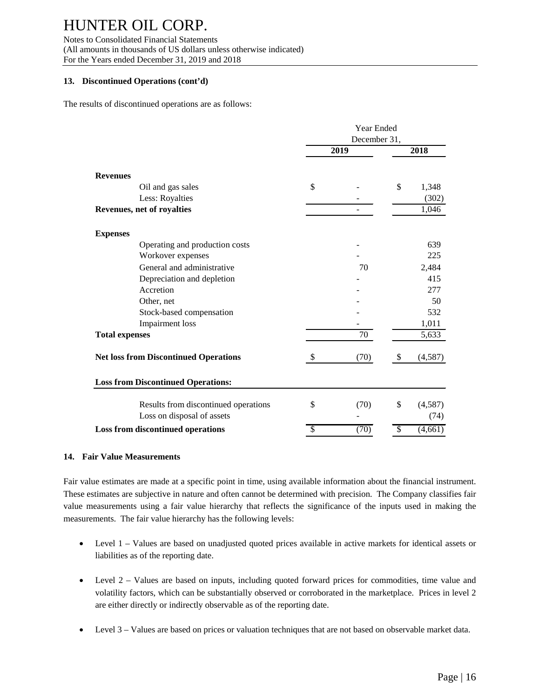Notes to Consolidated Financial Statements (All amounts in thousands of US dollars unless otherwise indicated) For the Years ended December 31, 2019 and 2018

### **13. Discontinued Operations (cont'd)**

The results of discontinued operations are as follows:

|                                              | Year Ended<br>December 31, |      |                          |          |
|----------------------------------------------|----------------------------|------|--------------------------|----------|
|                                              |                            |      |                          |          |
|                                              |                            | 2019 |                          | 2018     |
| <b>Revenues</b>                              |                            |      |                          |          |
|                                              | \$                         |      | \$                       |          |
| Oil and gas sales                            |                            |      |                          | 1,348    |
| Less: Royalties                              |                            |      |                          | (302)    |
| Revenues, net of royalties                   |                            |      |                          | 1,046    |
| <b>Expenses</b>                              |                            |      |                          |          |
| Operating and production costs               |                            |      |                          | 639      |
| Workover expenses                            |                            |      |                          | 225      |
| General and administrative                   |                            | 70   |                          | 2,484    |
| Depreciation and depletion                   |                            |      |                          | 415      |
| Accretion                                    |                            |      |                          | 277      |
| Other, net                                   |                            |      |                          | 50       |
| Stock-based compensation                     |                            |      |                          | 532      |
| Impairment loss                              |                            |      |                          | 1,011    |
| <b>Total expenses</b>                        |                            | 70   |                          | 5,633    |
| <b>Net loss from Discontinued Operations</b> | S                          | (70) | \$                       | (4,587)  |
| <b>Loss from Discontinued Operations:</b>    |                            |      |                          |          |
| Results from discontinued operations         | \$                         | (70) | \$                       | (4,587)  |
| Loss on disposal of assets                   |                            |      |                          | (74)     |
| <b>Loss from discontinued operations</b>     | \$                         | (70) | $\overline{\mathcal{S}}$ | (4, 661) |

#### **14. Fair Value Measurements**

Fair value estimates are made at a specific point in time, using available information about the financial instrument. These estimates are subjective in nature and often cannot be determined with precision. The Company classifies fair value measurements using a fair value hierarchy that reflects the significance of the inputs used in making the measurements. The fair value hierarchy has the following levels:

- Level 1 Values are based on unadjusted quoted prices available in active markets for identical assets or liabilities as of the reporting date.
- Level 2 Values are based on inputs, including quoted forward prices for commodities, time value and volatility factors, which can be substantially observed or corroborated in the marketplace. Prices in level 2 are either directly or indirectly observable as of the reporting date.
- Level 3 Values are based on prices or valuation techniques that are not based on observable market data.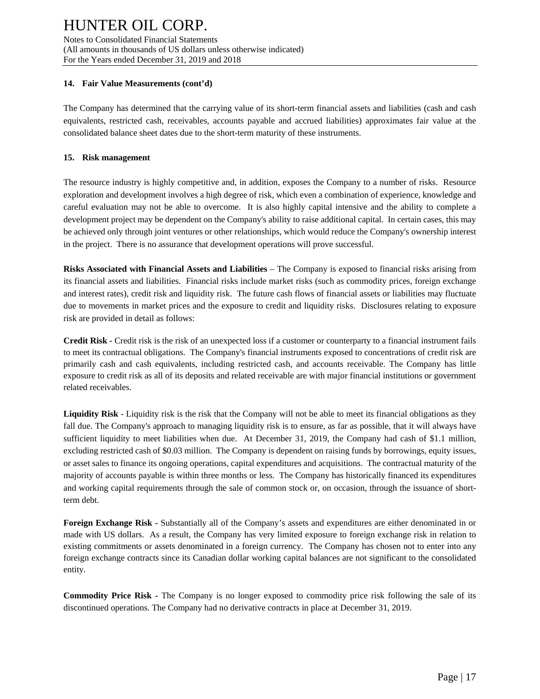### **14. Fair Value Measurements (cont'd)**

The Company has determined that the carrying value of its short-term financial assets and liabilities (cash and cash equivalents, restricted cash, receivables, accounts payable and accrued liabilities) approximates fair value at the consolidated balance sheet dates due to the short-term maturity of these instruments.

### **15. Risk management**

The resource industry is highly competitive and, in addition, exposes the Company to a number of risks. Resource exploration and development involves a high degree of risk, which even a combination of experience, knowledge and careful evaluation may not be able to overcome. It is also highly capital intensive and the ability to complete a development project may be dependent on the Company's ability to raise additional capital. In certain cases, this may be achieved only through joint ventures or other relationships, which would reduce the Company's ownership interest in the project. There is no assurance that development operations will prove successful.

**Risks Associated with Financial Assets and Liabilities** – The Company is exposed to financial risks arising from its financial assets and liabilities. Financial risks include market risks (such as commodity prices, foreign exchange and interest rates), credit risk and liquidity risk. The future cash flows of financial assets or liabilities may fluctuate due to movements in market prices and the exposure to credit and liquidity risks. Disclosures relating to exposure risk are provided in detail as follows:

**Credit Risk -** Credit risk is the risk of an unexpected loss if a customer or counterparty to a financial instrument fails to meet its contractual obligations. The Company's financial instruments exposed to concentrations of credit risk are primarily cash and cash equivalents, including restricted cash, and accounts receivable. The Company has little exposure to credit risk as all of its deposits and related receivable are with major financial institutions or government related receivables.

**Liquidity Risk** - Liquidity risk is the risk that the Company will not be able to meet its financial obligations as they fall due. The Company's approach to managing liquidity risk is to ensure, as far as possible, that it will always have sufficient liquidity to meet liabilities when due. At December 31, 2019, the Company had cash of \$1.1 million, excluding restricted cash of \$0.03 million. The Company is dependent on raising funds by borrowings, equity issues, or asset sales to finance its ongoing operations, capital expenditures and acquisitions. The contractual maturity of the majority of accounts payable is within three months or less. The Company has historically financed its expenditures and working capital requirements through the sale of common stock or, on occasion, through the issuance of shortterm debt.

**Foreign Exchange Risk -** Substantially all of the Company's assets and expenditures are either denominated in or made with US dollars. As a result, the Company has very limited exposure to foreign exchange risk in relation to existing commitments or assets denominated in a foreign currency. The Company has chosen not to enter into any foreign exchange contracts since its Canadian dollar working capital balances are not significant to the consolidated entity.

**Commodity Price Risk -** The Company is no longer exposed to commodity price risk following the sale of its discontinued operations. The Company had no derivative contracts in place at December 31, 2019.